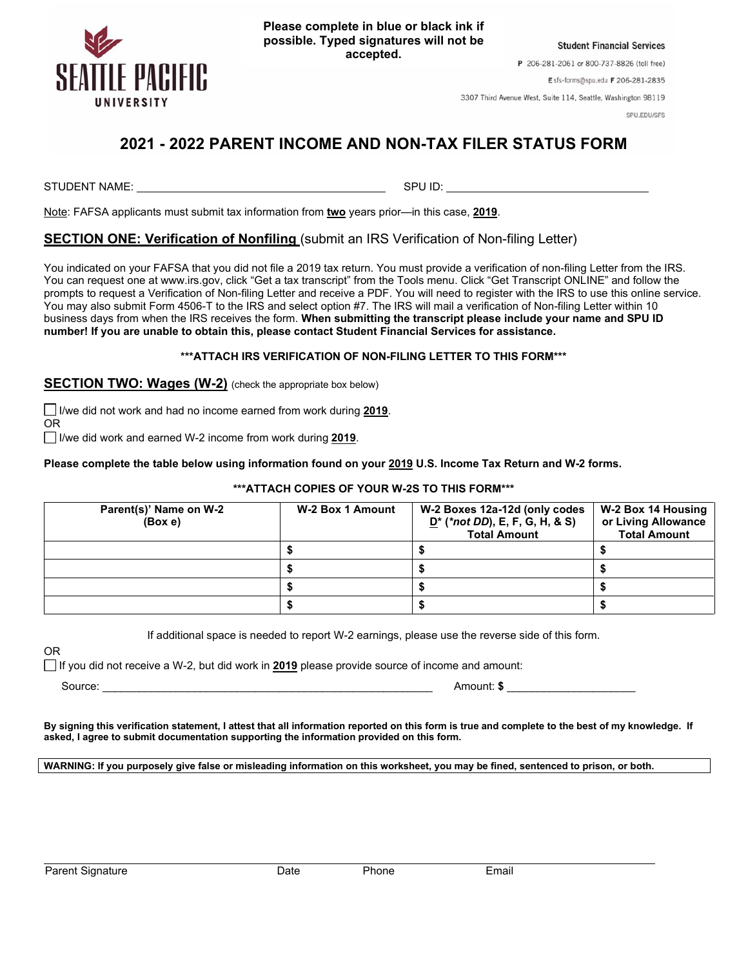

**Please complete in blue or black ink if possible. Typed signatures will not be accepted.**

**Student Financial Services** 

P 206-281-2061 or 800-737-8826 (toll free)

Esfs-forms@spu.edu F 206-281-2835

3307 Third Avenue West, Suite 114, Seattle, Washington 98119

SPU.EDU/SFS

## **2021 - 2022 PARENT INCOME AND NON-TAX FILER STATUS FORM**

STUDENT NAME: SPU ID:

Note: FAFSA applicants must submit tax information from **two** years prior—in this case, **2019**.

## **SECTION ONE: Verification of Nonfiling** (submit an IRS Verification of Non-filing Letter)

You indicated on your FAFSA that you did not file a 2019 tax return. You must provide a verification of non-filing Letter from the IRS. You can request one at www.irs.gov, click "Get a tax transcript" from the Tools menu. Click "Get Transcript ONLINE" and follow the prompts to request a Verification of Non-filing Letter and receive a PDF. You will need to register with the IRS to use this online service. You may also submit Form 4506-T to the IRS and select option #7. The IRS will mail a verification of Non-filing Letter within 10 business days from when the IRS receives the form. **When submitting the transcript please include your name and SPU ID number! If you are unable to obtain this, please contact Student Financial Services for assistance.**

## **\*\*\*ATTACH IRS VERIFICATION OF NON-FILING LETTER TO THIS FORM\*\*\***

**SECTION TWO: Wages (W-2)** (check the appropriate box below)

 I/we did not work and had no income earned from work during **2019**. OR

I/we did work and earned W-2 income from work during **2019**.

**Please complete the table below using information found on your 2019 U.S. Income Tax Return and W-2 forms.** 

## **\*\*\*ATTACH COPIES OF YOUR W-2S TO THIS FORM\*\*\***

| Parent(s)' Name on W-2<br>(Box e) | W-2 Box 1 Amount | W-2 Boxes 12a-12d (only codes<br>$D^*$ (*not DD), E, F, G, H, & S)<br><b>Total Amount</b> | W-2 Box 14 Housing<br>or Living Allowance<br><b>Total Amount</b> |
|-----------------------------------|------------------|-------------------------------------------------------------------------------------------|------------------------------------------------------------------|
|                                   |                  |                                                                                           |                                                                  |
|                                   |                  |                                                                                           |                                                                  |
|                                   |                  |                                                                                           |                                                                  |
|                                   |                  |                                                                                           |                                                                  |

If additional space is needed to report W-2 earnings, please use the reverse side of this form.

OR

If you did not receive a W-2, but did work in **2019** please provide source of income and amount:

Source: \_\_\_\_\_\_\_\_\_\_\_\_\_\_\_\_\_\_\_\_\_\_\_\_\_\_\_\_\_\_\_\_\_\_\_\_\_\_\_\_\_\_\_\_\_\_\_\_\_\_\_\_\_\_ Amount: **\$** \_\_\_\_\_\_\_\_\_\_\_\_\_\_\_\_\_\_\_\_\_

**By signing this verification statement, I attest that all information reported on this form is true and complete to the best of my knowledge. If asked, I agree to submit documentation supporting the information provided on this form.**

**WARNING: If you purposely give false or misleading information on this worksheet, you may be fined, sentenced to prison, or both.**